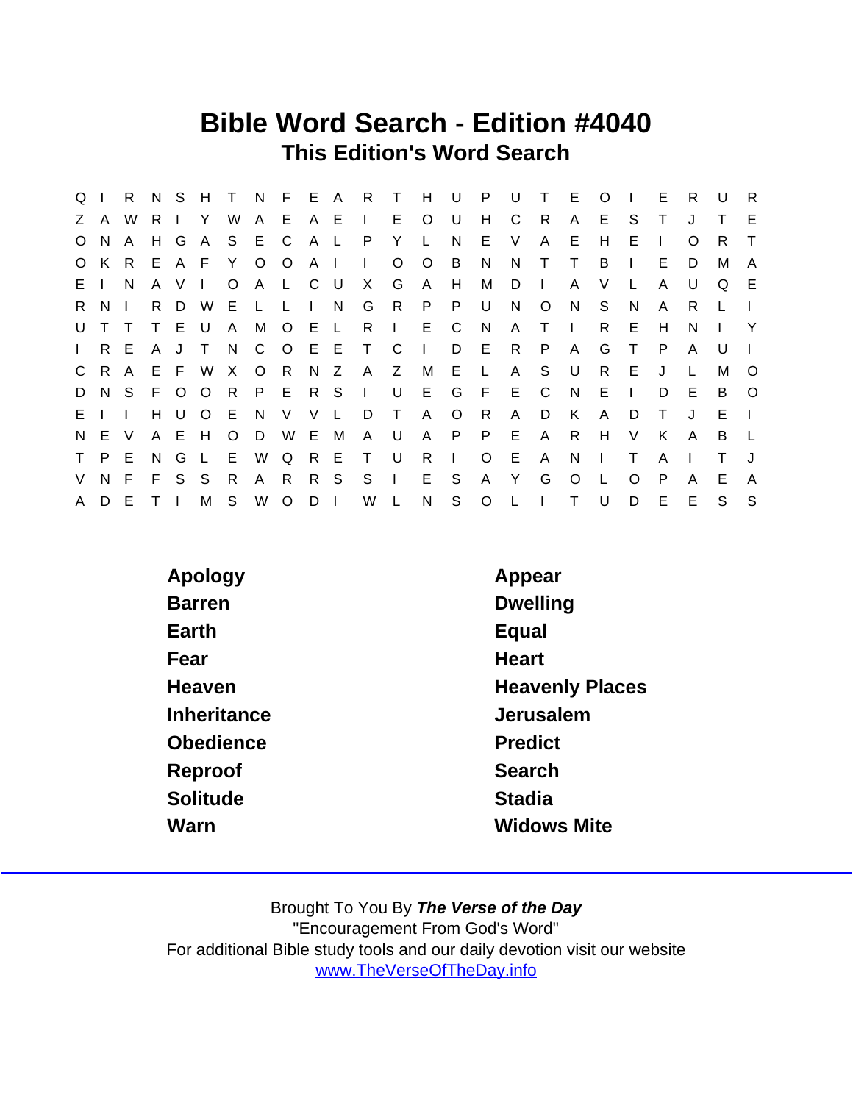## Bible Word Search - Edition #4040 This Edition's Word Search

| $Q \mid$     |              | R.           |                | N S   | H T             |              | N F E A R |         |              |              |              | $\top$         | H            | $\bigcup$    | P.             | U   | $\top$       | - E          | $\circ$      |              | E            | R.       | U  | - R          |
|--------------|--------------|--------------|----------------|-------|-----------------|--------------|-----------|---------|--------------|--------------|--------------|----------------|--------------|--------------|----------------|-----|--------------|--------------|--------------|--------------|--------------|----------|----|--------------|
|              | Z A          | W            | R.             |       | Y               | W            | A E A E   |         |              |              | $\sim 1$ .   | E.             | $\circ$      | U            | H              | C.  | - R          | $\mathsf{A}$ | E.           | S            | Τ            |          |    | E            |
| $\circ$      | N.           | A            | H G            |       | A               |              | S E C     |         |              | A L          | $\mathsf{P}$ | Y              | L.           | N            | E              | V   | A            | E.           | H            | Е            | $\mathbf{I}$ | $\Omega$ | R. | $\top$       |
|              | O K R        |              |                |       | E A F Y O O A I |              |           |         |              |              | $\Box$       | $\circ$        | $\circ$      | <b>B</b>     | N              | N.  | $\top$       | T            | B            |              | E.           | D        | M  | $\mathsf{A}$ |
| E I          |              | <sup>N</sup> | A              | V     | $\mathbf{L}$    | $\circ$      | A L C U   |         |              |              | X            | G              | $\mathsf{A}$ | H            | М              | D   | $\Box$       | A            | V            | L.           | A            | U        | Q  | E            |
| $R_{\perp}$  | N.           |              | R.             | D     | W ·             | E L          |           | L.      | $\mathbf{L}$ | N.           | G            | R.             | $\mathsf{P}$ | P            | U              | N.  | $\circ$      | N.           | S.           | N            | A            | R.       | L  | $\Box$       |
| U            | T.           |              | T.             | E U   |                 | $\mathsf{A}$ |           | M O E L |              |              | R            | $\mathbb{R}^n$ | E.           | C            | N.             | A   | $\top$       | $\sim 1$ .   | R.           | E            | H            | N        |    | $\mathsf{Y}$ |
| $\mathbf{L}$ | R E          |              | A              | J     | $\mathsf{T}$    | N.           |           | C O E E |              |              | $\top$       | C              | $\pm 1$      | D            | – E            | R.  | P            | A            | G            | $\top$       | P            | A        | U  |              |
|              | C R A        |              |                |       | E F W           | $\mathsf{X}$ | $\circ$   | - R     |              | N Z          | A            | Z              | M            | E            | $\mathbb{L}$ . | A   | S            | U            | R.           | E            | J            |          | м  | $\circ$      |
| D            | N S          |              |                |       | F O O R         |              | P E       |         | R S          |              | $\sim 1$     | U              | E.           | G            | - F            | E.  | C.           | N            | E.           | $\mathbf{I}$ | D            | E        | B  | $\circ$      |
| E            | $\mathbf{1}$ |              | H              | U     | $O$ E           |              | N.        | V       | V            | $\mathsf{L}$ | D            | $\top$         | $\mathsf{A}$ | $\circ$      | R              | A   | D            | K            | A            | D            | T            | $\cdot$  | E. |              |
|              | N E V        |              |                | A E H |                 | $\circ$      | D         |         | W E          | M            | A            | U              | $\mathsf{A}$ | P            | P              | E   | $\mathsf{A}$ | R            | H            | $\vee$       | K            | A        | B  | $\mathsf{L}$ |
|              | T P E        |              | N.             | G     | $\mathsf{L}$    | E            | W         | Q       |              | R E          | $\top$       | U              | R.           | $\mathbf{L}$ | $\circ$        | - E | $\mathsf{A}$ | N            | $\mathbf{I}$ | T            | A            |          | T. |              |
| V            | N F          |              | F.             |       | S S             | R            | A         | R.      |              | R S          | S            | $\Box$         | E.           | S            | A              | Y   | G            | $\circ$      | L            | $\Omega$     | P            | A        | E  | $\mathsf{A}$ |
| $\mathsf{A}$ | D E          |              | T <sub>1</sub> |       | M S             |              | <b>W</b>  | $\circ$ | $D \mid$     |              | W            | L              | N            | S            | O L            |     | $\Box$       | $\top$       | U            | D            | E            | E        | S. | S.           |

| Apology       | Appear                 |
|---------------|------------------------|
| <b>Barren</b> | <b>Dwelling</b>        |
| Earth         | Equal                  |
| Fear          | <b>Heart</b>           |
| Heaven        | <b>Heavenly Places</b> |
| Inheritance   | Jerusalem              |
| Obedience     | Predict                |
| Reproof       | Search                 |
| Solitude      | Stadia                 |
| Warn          | <b>Widows Mite</b>     |
|               |                        |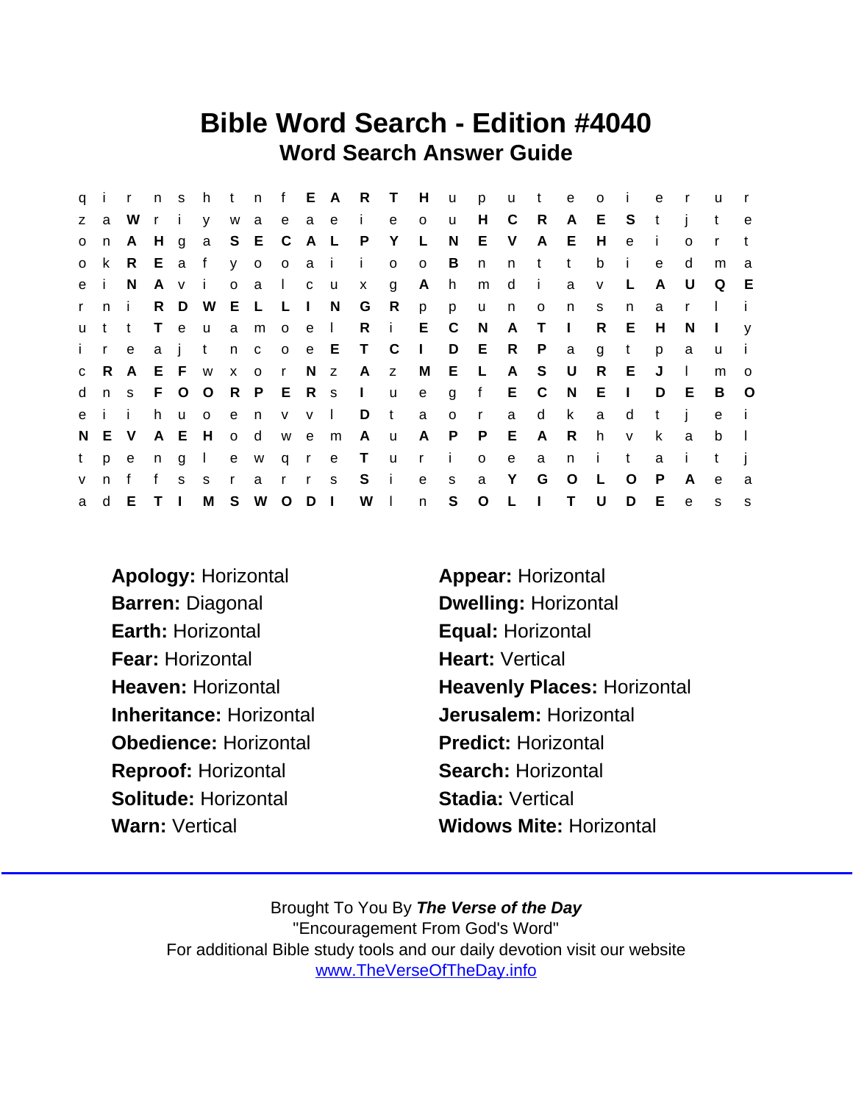### Bible Word Search - Edition #4040 Word Search Answer Guide

|              |              | q i r n s    |                |              |               |              |           |                |                 |    | htnf EART      |              | H            | u            | p            | <b>u</b>     | $-t$         | e            | $\circ$      | $\mathbf{i}$ | e   | $\mathsf{r}$ | <b>u</b>     | $\mathsf{r}$ |
|--------------|--------------|--------------|----------------|--------------|---------------|--------------|-----------|----------------|-----------------|----|----------------|--------------|--------------|--------------|--------------|--------------|--------------|--------------|--------------|--------------|-----|--------------|--------------|--------------|
| Z            | a            | W            |                | ri           |               |              |           |                |                 |    | y waeae ie     |              | $\mathsf{o}$ | u            | H.           | $\mathbf C$  | R.           | A            | E.           | S.           | t   | - i          | t            | $\mathbf e$  |
| $\mathsf{O}$ | n            | A            | H              | $\mathsf{g}$ | a S E C       |              |           |                | A L             |    | P              | Y            | L.           | N            | E            | V            | A            | E.           | H            | $\mathbf e$  | -i- | $\Omega$     | $\mathsf{r}$ | t            |
|              | o k          |              |                |              | R E a f       |              | y o o a i |                |                 |    | $\mathbf{i}$   | $\circ$      | $\circ$      | B            | n            | n            | t            | $-t$         | b            | - i          | e   | d            | m            | a            |
|              | e i          | <sup>N</sup> | A              | $\mathsf{V}$ | - i -         |              | o a       | $\mathbf{1}$   | c u             |    | $\mathsf{x}$   | g            | A            | h            | m            | d            | $\mathbf{I}$ | a            | $\vee$       | −L.          | A   | U            | Q            | - E          |
| $\mathbf{r}$ | n i          |              |                |              | R D W E L L   |              |           |                | $\mathbf{1}$    | N, | G              | R            | p            | p            | <b>u</b>     | n            | $\mathbf{o}$ | n            | <sub>S</sub> | n            | a   | r.           |              |              |
|              | u t          | t            | $\top$         | $\mathbf{e}$ | <b>u</b>      |              | a m o e l |                |                 |    | $\mathsf{R}$   | $\sim 1$ .   |              | E C          | N,           | A            | $\top$       | $\Box$       | R            | E            | Н   | N            | $\perp$      | V            |
| $\mathbf{i}$ | $\mathsf{r}$ | e            | a              |              | t             |              | n c       | $\overline{O}$ |                 |    | e E T C        |              | $\mathbf{L}$ |              | D E          | R            | P            | a            | g            | t            | p   | a            | $\mathsf{u}$ | $\mathbf{i}$ |
|              | c R A        |              |                |              | E F w x o     |              |           | $\mathsf{r}$   |                 |    | N z A z        |              | M            | E L          |              | $\mathsf{A}$ | S            | $\cup$       | R            | - E          | J   | $\mathbf{I}$ | m            | $\circ$      |
| d            | n s          |              | F.             |              | O O R P E R S |              |           |                |                 |    | $\sim 1$ .     | $\mathsf{u}$ | e            | $\mathbf{q}$ |              | f E C        |              | N            | E.           | $\Box$       | D   | E            | B            | $\circ$      |
|              | eii          |              | h.             |              | u o           |              | e n       |                | $V$ $V$ $\vert$ |    | D              | $-t$         | a            | $\circ$      | $\mathsf{r}$ | a            | d            | $\mathsf{k}$ | a            | d            | t   | j.           | $\mathbf{e}$ | - i          |
|              | N E V        |              |                | A E H        |               | o d          |           | W              | $\mathbf{e}$    | m  | A              | <b>u</b>     | A            | P            | P.           | E            | A            | R.           | h            | $\mathsf{V}$ | k   | a            | b            | $\Box$       |
| t            | p            | e.           | n              | g            | $\mathbf{1}$  |              | e w       |                | q r e           |    | $\top$         | $\mathsf{u}$ | $\mathsf{r}$ | - i -        | $\circ$      | $\mathbf{e}$ | a            | n            | - i -        | t            | a   | -i -         | $\mathbf t$  |              |
| $\mathsf{V}$ | n            | f            | f              | S            | S.            | $\mathsf{r}$ | a         | $\mathsf{r}$   | $\mathsf{r}$    | S. | $S$ i          |              | $\mathbf{e}$ | s            | a            | Y            | G            | $\circ$      | L            | $\circ$      | P   | A            | e            | a            |
| a            | d            | E            | T <sub>1</sub> |              | M             | S            | W O       |                | $D \mid$        |    | W <sub>1</sub> |              | n            | S            | O L          |              | $\mathbf{I}$ | $\mathsf{T}$ | U            | D            | E.  | $\mathsf{e}$ | <sub>S</sub> | s            |

- Apology: Horizontal **Appear: Horizontal** Barren: Diagonal Dwelling: Horizontal Earth: Horizontal **Equal: Horizontal** Fear: Horizontal Heart: Vertical Inheritance: Horizontal Jerusalem: Horizontal Obedience: Horizontal Predict: Horizontal Reproof: Horizontal Search: Horizontal Solitude: Horizontal Stadia: Vertical Warn: Vertical Widows Mite: Horizontal
- Heaven: Horizontal Heavenly Places: Horizontal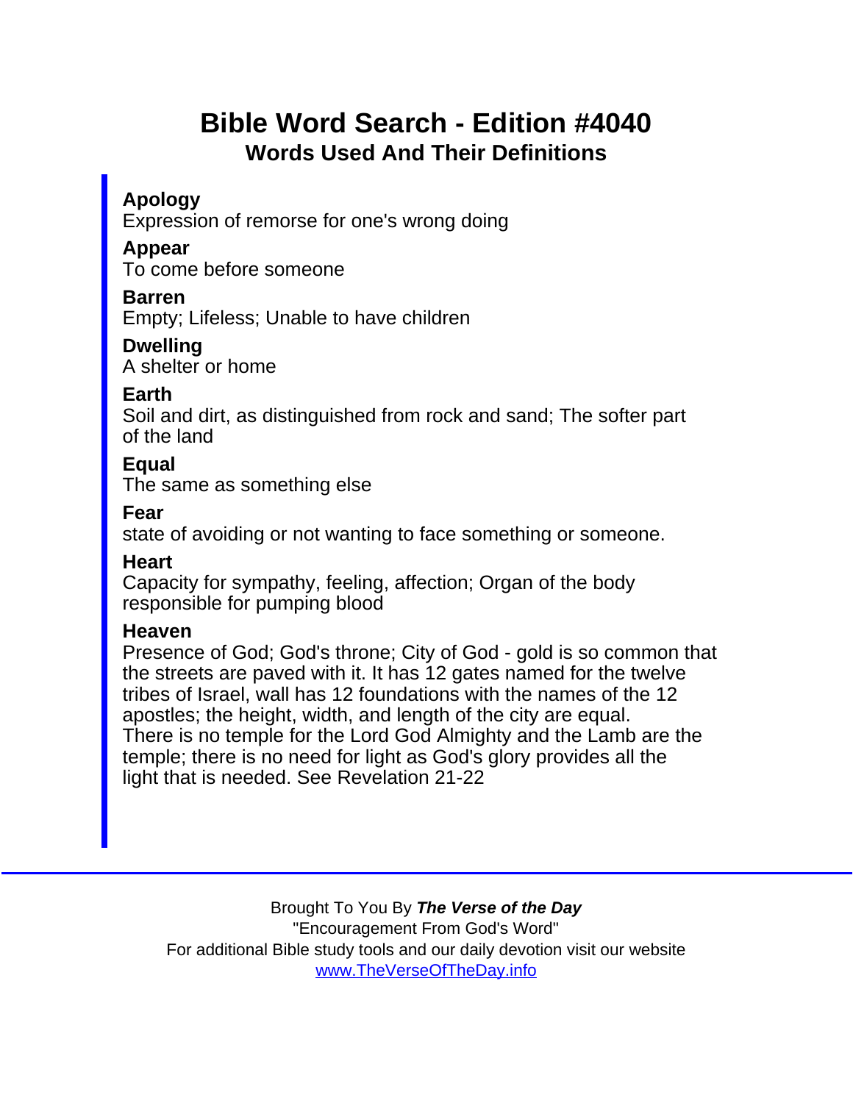# Bible Word Search - Edition #4040 Words Used And Their Definitions

Apology

Expression of remorse for one's wrong doing

Appear

To come before someone

Barren

Empty; Lifeless; Unable to have children

Dwelling A shelter or home

Earth

Soil and dirt, as distinguished from rock and sand; The softer part of the land

**E**qual

The same as something else

Fear

state of avoiding or not wanting to face something or someone.

**Heart** 

Capacity for sympathy, feeling, affection; Organ of the body responsible for pumping blood

**Heaven** 

Presence of God; God's throne; City of God - gold is so common that the streets are paved with it. It has 12 gates named for the twelve tribes of Israel, wall has 12 foundations with the names of the 12 apostles; the height, width, and length of the city are equal. There is no temple for the Lord God Almighty and the Lamb are the temple; there is no need for light as God's glory provides all the light that is needed. See Revelation 21-22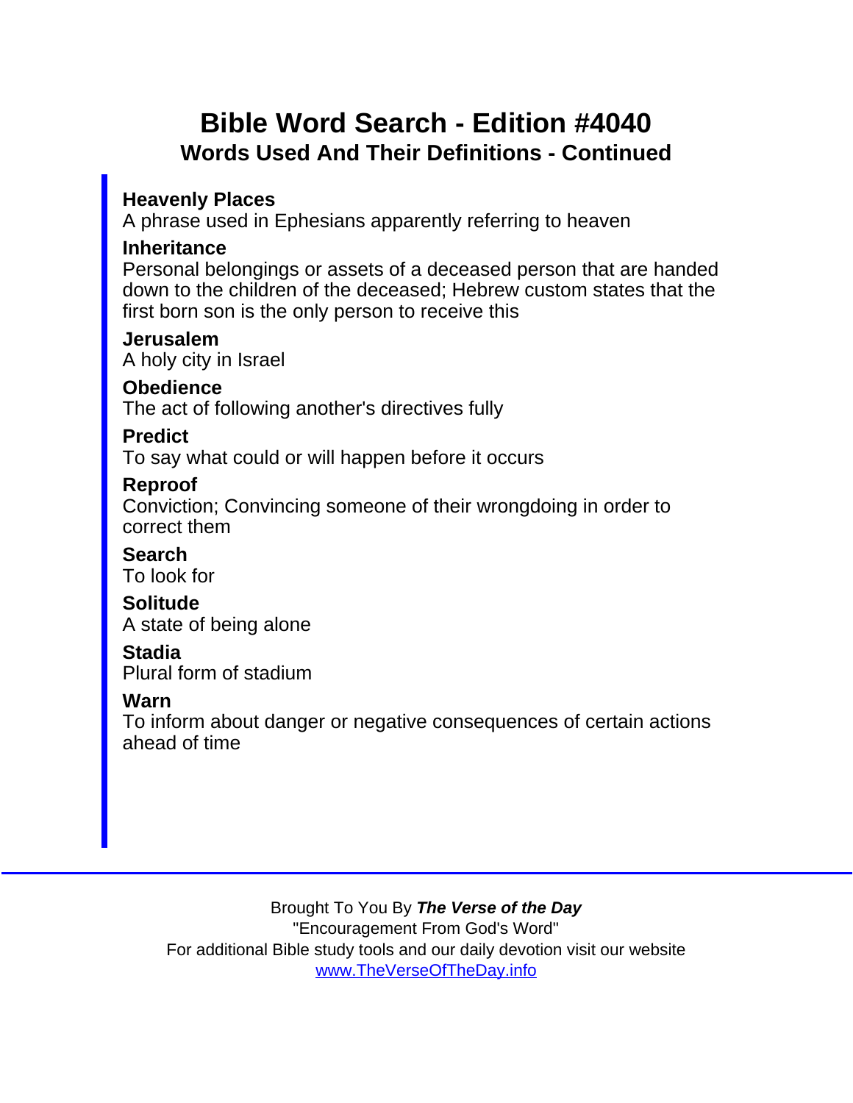## Bible Word Search - Edition #4040 Words Used And Their Definitions - Continued

Heavenly Places

A phrase used in Ephesians apparently referring to heaven

Inheritance

Personal belongings or assets of a deceased person that are handed down to the children of the deceased; Hebrew custom states that the first born son is the only person to receive this

Jerusalem A holy city in Israel

**Obedience** 

The act of following another's directives fully

**Predict** 

To say what could or will happen before it occurs

Reproof

Conviction; Convincing someone of their wrongdoing in order to correct them

Search

To look for

**Solitude** A state of being alone

Stadia

Plural form of stadium

Warn

To inform about danger or negative consequences of certain actions ahead of time